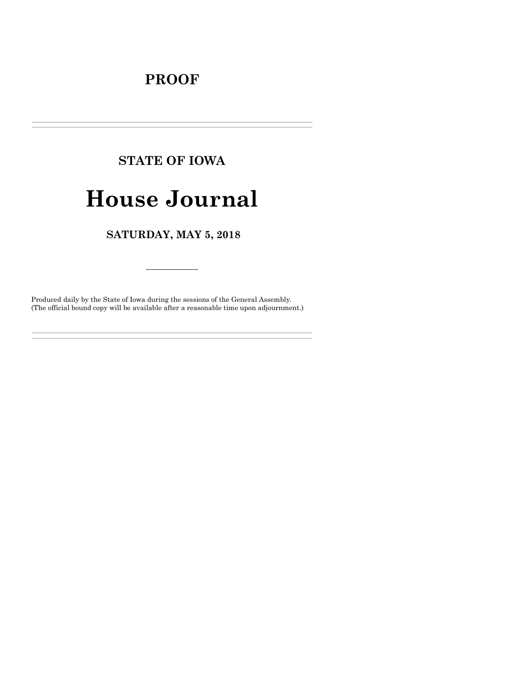# **PROOF**

# **STATE OF IOWA**

# **House Journal**

## SATURDAY, MAY 5, 2018

Produced daily by the State of Iowa during the sessions of the General Assembly. (The official bound copy will be available after a reasonable time upon adjournment.)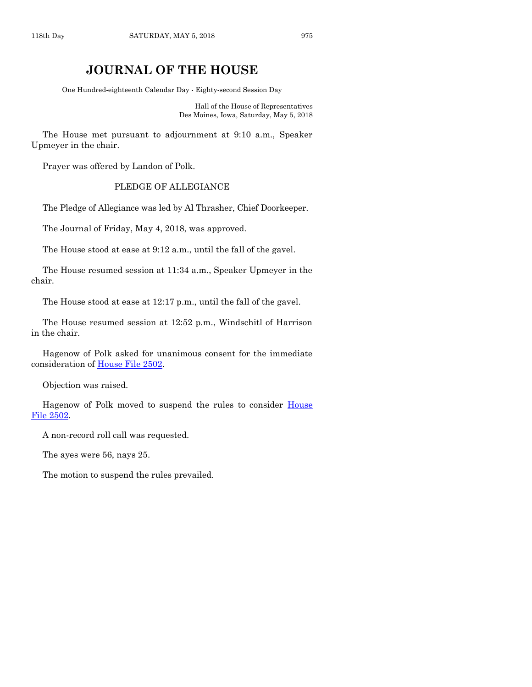### **JOURNAL OF THE HOUSE**

One Hundred-eighteenth Calendar Day - Eighty-second Session Day

Hall of the House of Representatives Des Moines, Iowa, Saturday, May 5, 2018

The House met pursuant to adjournment at 9:10 a.m., Speaker Upmeyer in the chair.

Prayer was offered by Landon of Polk.

#### PLEDGE OF ALLEGIANCE

The Pledge of Allegiance was led by Al Thrasher, Chief Doorkeeper.

The Journal of Friday, May 4, 2018, was approved.

The House stood at ease at 9:12 a.m., until the fall of the gavel.

The House resumed session at 11:34 a.m., Speaker Upmeyer in the chair.

The House stood at ease at 12:17 p.m., until the fall of the gavel.

The House resumed session at 12:52 p.m., Windschitl of Harrison in the chair.

Hagenow of Polk asked for unanimous consent for the immediate consideration of [House File 2502.](https://www.legis.iowa.gov/legislation/BillBook?ga=87&ba=HF2502)

Objection was raised.

Hagenow of Polk moved to suspend the rules to consider House [File 2502.](https://www.legis.iowa.gov/legislation/BillBook?ga=87&ba=HF2502)

A non-record roll call was requested.

The ayes were 56, nays 25.

The motion to suspend the rules prevailed.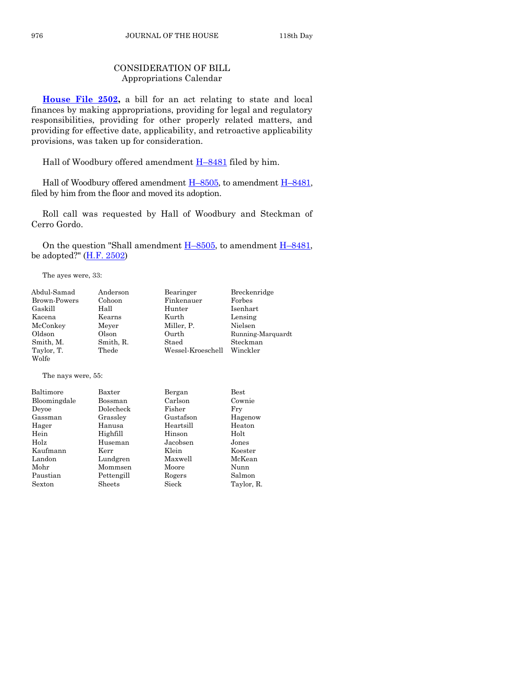#### CONSIDERATION OF BILL Appropriations Calendar

**[House File 2502,](https://www.legis.iowa.gov/legislation/BillBook?ga=87&ba=HF2502)** a bill for an act relating to state and local finances by making appropriations, providing for legal and regulatory responsibilities, providing for other properly related matters, and providing for effective date, applicability, and retroactive applicability provisions, was taken up for consideration.

Hall of Woodbury offered amendment H–[8481](https://www.legis.iowa.gov/legislation/BillBook?ga=87&ba=H8481) filed by him.

Hall of Woodbury offered amendment  $H$ –[8505,](https://www.legis.iowa.gov/legislation/BillBook?ga=87&ba=H8505) to amendment  $H$ –[8481,](https://www.legis.iowa.gov/legislation/BillBook?ga=87&ba=H8481) filed by him from the floor and moved its adoption.

Roll call was requested by Hall of Woodbury and Steckman of Cerro Gordo.

On the question "Shall amendment  $H-8505$ , to amendment  $H-8481$ , be adopted?"  $(H.F. 2502)$ 

The ayes were, 33:

| Abdul-Samad        | Anderson  | Bearinger         | Breckenridge      |
|--------------------|-----------|-------------------|-------------------|
| Brown-Powers       | Cohoon    | Finkenauer        | Forbes            |
| Gaskill            | Hall      | Hunter            | Isenhart.         |
| Kacena             | Kearns    | Kurth             | Lensing           |
| McConkey           | Meyer     | Miller, P.        | Nielsen           |
| Oldson             | Olson     | Ourth             | Running-Marquardt |
| Smith, M.          | Smith, R. | Staed             | Steckman          |
| Taylor, T.         | Thede     | Wessel-Kroeschell | Winckler          |
| Wolfe              |           |                   |                   |
| The nays were, 55: |           |                   |                   |

| ${\rm Baxter}$ | Bergan    | $_{\rm Best}$ |
|----------------|-----------|---------------|
| Bossman        | Carlson   | Cownie        |
| Dolecheck      | Fisher    | Fry           |
| Grassley       | Gustafson | Hagenow       |
| Hanusa         | Heartsill | Heaton        |
| Highfill       | Hinson    | Holt          |
| Huseman        | Jacobsen  | Jones         |
| Kerr           | Klein     | Koester       |
| Lundgren       | Maxwell   | McKean        |
| Mommsen        | Moore     | Nunn          |
| Pettengill     | Rogers    | Salmon        |
| Sheets         | Sieck     | Taylor, R.    |
|                |           |               |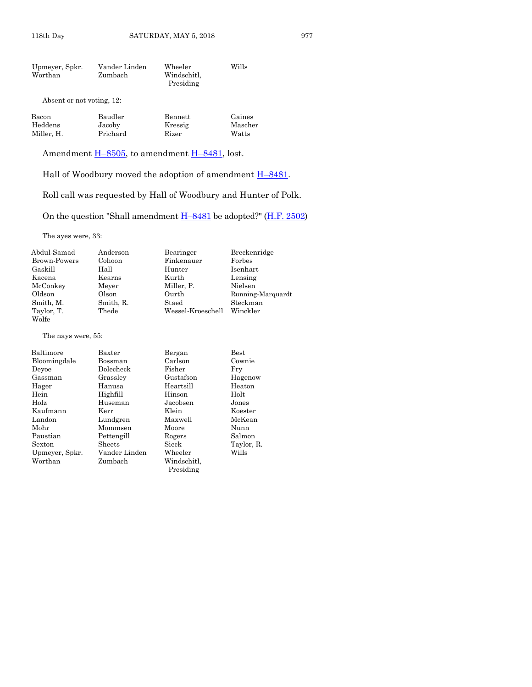| Upmeyer, Spkr. | Vander Linden | Wheeler     | Wills |
|----------------|---------------|-------------|-------|
| Worthan        | Zumbach       | Windschitl, |       |
|                |               | Presiding   |       |

Absent or not voting, 12:

| Bacon      | Baudler  | Bennett | Gaines  |
|------------|----------|---------|---------|
| Heddens    | Jacoby   | Kressig | Mascher |
| Miller. H. | Prichard | Rizer   | Watts   |

Amendment  $\underline{H-8505}$ , to amendment  $\underline{H-8481}$ , lost.

Hall of Woodbury moved the adoption of amendment  $\underline{H-8481}$ .

Roll call was requested by Hall of Woodbury and Hunter of Polk.

On the question "Shall amendment H–[8481](https://www.legis.iowa.gov/legislation/BillBook?ga=87&ba=H8481) be adopted?" [\(H.F. 2502\)](https://www.legis.iowa.gov/legislation/BillBook?ga=87&ba=HF2502)

The ayes were, 33:

| Abdul-Samad  | Anderson  | Bearinger         | Breckenridge      |
|--------------|-----------|-------------------|-------------------|
| Brown-Powers | Cohoon    | Finkenauer        | Forbes            |
| Gaskill      | Hall      | Hunter            | Isenhart          |
| Kacena       | Kearns    | Kurth             | Lensing           |
| McConkey     | Meyer     | Miller. P.        | Nielsen           |
| Oldson       | Olson     | Ourth             | Running-Marquardt |
| Smith, M.    | Smith, R. | Staed             | Steckman          |
| Taylor, T.   | Thede     | Wessel-Kroeschell | Winckler          |
| Wolfe        |           |                   |                   |

The nays were, 55:

| Baltimore      | Baxter        | Bergan      | $_{\rm Best}$ |
|----------------|---------------|-------------|---------------|
| Bloomingdale   | Bossman       | Carlson     | Cownie        |
| Deyoe          | Dolecheck     | Fisher      | Fry           |
| Gassman        | Grassley      | Gustafson   | Hagenow       |
| Hager          | Hanusa        | Heartsill   | Heaton        |
| Hein           | Highfill      | Hinson      | Holt          |
| Holz           | Huseman       | Jacobsen    | Jones         |
| Kaufmann       | Kerr          | Klein       | Koester       |
| Landon         | Lundgren      | Maxwell     | McKean        |
| Mohr           | Mommsen       | Moore       | Nunn          |
| Paustian       | Pettengill    | Rogers      | Salmon        |
| Sexton         | <b>Sheets</b> | Sieck       | Taylor, R.    |
| Upmeyer, Spkr. | Vander Linden | Wheeler     | Wills         |
| Worthan        | Zumbach       | Windschitl. |               |
|                |               | Presiding   |               |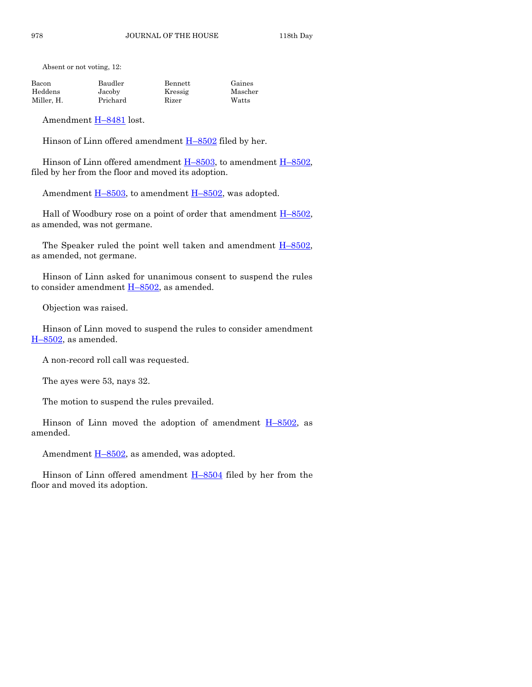Absent or not voting, 12:

| Bacon      | Baudler  | Bennett | Gaines  |
|------------|----------|---------|---------|
| Heddens    | Jacoby   | Kressig | Mascher |
| Miller. H. | Prichard | Rizer   | Watts   |

Amendment H–[8481](https://www.legis.iowa.gov/legislation/BillBook?ga=87&ba=H8481) lost.

Hinson of Linn offered amendment  $H-8502$  $H-8502$  filed by her.

Hinson of Linn offered amendment  $H-8503$ , to amendment  $H-8502$ , filed by her from the floor and moved its adoption.

Amendment  $H-8503$ , to amendment  $H-8502$ , was adopted.

Hall of Woodbury rose on a point of order that amendment  $H-8502$ , as amended, was not germane.

The Speaker ruled the point well taken and amendment  $H-8502$ , as amended, not germane.

Hinson of Linn asked for unanimous consent to suspend the rules to consider amendment  $H-8502$ , as amended.

Objection was raised.

Hinson of Linn moved to suspend the rules to consider amendment  $H-8502$ , as amended.

A non-record roll call was requested.

The ayes were 53, nays 32.

The motion to suspend the rules prevailed.

Hinson of Linn moved the adoption of amendment  $H-8502$ , as amended.

Amendment  $H-8502$ , as amended, was adopted.

Hinson of Linn offered amendment H–[8504](https://www.legis.iowa.gov/legislation/BillBook?ga=87&ba=H8504) filed by her from the floor and moved its adoption.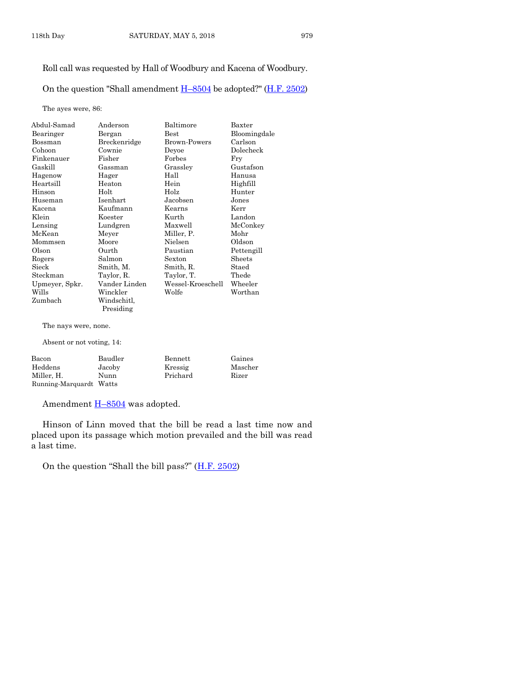#### Roll call was requested by Hall of Woodbury and Kacena of Woodbury.

On the question "Shall amendment  $H-8504$  $H-8504$  be adopted?" (H.F. [2502\)](https://www.legis.iowa.gov/legislation/BillBook?ga=87&ba=HF2502)

The ayes were, 86:

| Abdul-Samad    | Anderson      | Baltimore         | Baxter       |
|----------------|---------------|-------------------|--------------|
| Bearinger      | Bergan        | $_{\rm Best}$     | Bloomingdale |
| Bossman        | Breckenridge  | Brown-Powers      | Carlson      |
| Cohoon         | Cownie        | Deyoe             | Dolecheck    |
| Finkenauer     | Fisher        | Forbes            | Fry          |
| Gaskill        | Gassman       | Grassley          | Gustafson    |
| Hagenow        | Hager         | Hall              | Hanusa       |
| Heartsill      | Heaton        | Hein              | Highfill     |
| Hinson         | Holt          | Holz              | Hunter       |
| Huseman        | Isenhart      | Jacobsen          | Jones        |
| Kacena         | Kaufmann      | Kearns            | Kerr         |
| Klein          | Koester       | Kurth             | Landon       |
| Lensing        | Lundgren      | Maxwell           | McConkey     |
| McKean         | Meyer         | Miller, P.        | Mohr         |
| Mommsen        | Moore         | Nielsen           | Oldson       |
| Olson          | Ourth         | Paustian          | Pettengill   |
| Rogers         | Salmon        | Sexton            | Sheets       |
| Sieck          | Smith, M.     | Smith, R.         | Staed        |
| Steckman       | Taylor, R.    | Taylor, T.        | Thede        |
| Upmeyer, Spkr. | Vander Linden | Wessel-Kroeschell | Wheeler      |
| Wills          | Winckler      | Wolfe             | Worthan      |
| Zumbach        | Windschitl.   |                   |              |
|                | Presiding     |                   |              |

The nays were, none.

Absent or not voting, 14:

| Bacon                   | Baudler | Bennett  | Gaines  |
|-------------------------|---------|----------|---------|
| Heddens                 | Jacoby  | Kressig  | Mascher |
| Miller, H.              | Nunn    | Prichard | Rizer   |
| Running-Marquardt Watts |         |          |         |

Amendment  $\underline{H-8504}$  $\underline{H-8504}$  $\underline{H-8504}$  was adopted.

Hinson of Linn moved that the bill be read a last time now and placed upon its passage which motion prevailed and the bill was read a last time.

On the question "Shall the bill pass?" ([H.F. 2502\)](https://www.legis.iowa.gov/legislation/BillBook?ga=87&ba=HF2502)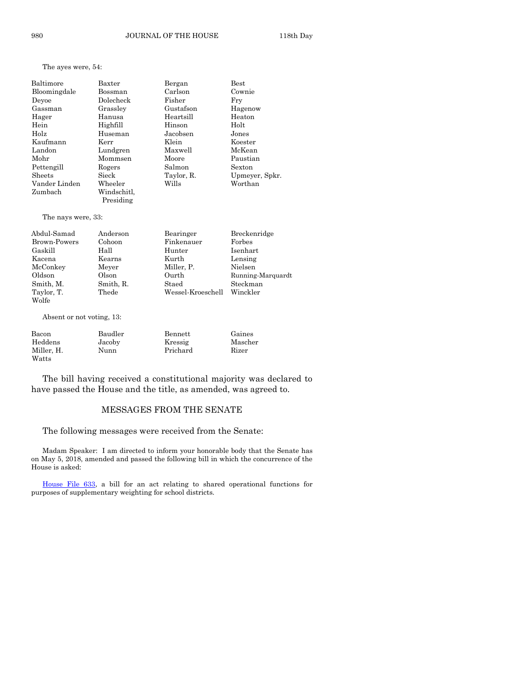|  |  | The ayes were, 54: |  |
|--|--|--------------------|--|
|--|--|--------------------|--|

| Baltimore           | Baxter                   | Bergan                                                                                                                                                                                                                                                                                                                                                                                                                                                        | $_{\rm Best}$                  |
|---------------------|--------------------------|---------------------------------------------------------------------------------------------------------------------------------------------------------------------------------------------------------------------------------------------------------------------------------------------------------------------------------------------------------------------------------------------------------------------------------------------------------------|--------------------------------|
| Bloomingdale        | Bossman                  | Carlson                                                                                                                                                                                                                                                                                                                                                                                                                                                       | Cownie                         |
| Deyoe               | Dolecheck                | Fisher                                                                                                                                                                                                                                                                                                                                                                                                                                                        | Fry                            |
| Gassman             | Grassley                 | Gustafson                                                                                                                                                                                                                                                                                                                                                                                                                                                     | Hagenow                        |
| Hager               | Hanusa                   | Heartsill                                                                                                                                                                                                                                                                                                                                                                                                                                                     | Heaton                         |
| Hein                | Highfill                 | Hinson                                                                                                                                                                                                                                                                                                                                                                                                                                                        | Holt                           |
| Holz                | Huseman                  | Jacobsen                                                                                                                                                                                                                                                                                                                                                                                                                                                      | Jones                          |
| Kaufmann            | Kerr                     | Klein                                                                                                                                                                                                                                                                                                                                                                                                                                                         | Koester                        |
| Landon              | Lundgren                 | Maxwell                                                                                                                                                                                                                                                                                                                                                                                                                                                       | McKean                         |
| Mohr                | Mommsen                  | Moore                                                                                                                                                                                                                                                                                                                                                                                                                                                         | Paustian                       |
| Pettengill          | Rogers                   | Salmon                                                                                                                                                                                                                                                                                                                                                                                                                                                        | Sexton                         |
| Sheets              | Sieck                    | Taylor, R.                                                                                                                                                                                                                                                                                                                                                                                                                                                    | Upmeyer, Spkr.                 |
| Vander Linden       | Wheeler                  | Wills                                                                                                                                                                                                                                                                                                                                                                                                                                                         | Worthan                        |
| Zumbach             | Windschitl,<br>Presiding |                                                                                                                                                                                                                                                                                                                                                                                                                                                               |                                |
| The nays were, 33:  |                          |                                                                                                                                                                                                                                                                                                                                                                                                                                                               |                                |
| Abdul-Samad         | Anderson                 | Bearinger                                                                                                                                                                                                                                                                                                                                                                                                                                                     | Breckenridge                   |
| <b>Brown-Powers</b> | Cohoon                   | Finkenauer                                                                                                                                                                                                                                                                                                                                                                                                                                                    | Forbes                         |
| Gaskill             | Hall                     | Hunter                                                                                                                                                                                                                                                                                                                                                                                                                                                        | Isenhart                       |
| Kacena              | Kearns                   | Kurth                                                                                                                                                                                                                                                                                                                                                                                                                                                         | Lensing                        |
| McConkey            | Meyer                    | Miller, P.                                                                                                                                                                                                                                                                                                                                                                                                                                                    | Nielsen                        |
| Oldson              | Olson                    | Ourth                                                                                                                                                                                                                                                                                                                                                                                                                                                         | Running-Marquard               |
| Smith, M.           | Smith, R.                | Staed                                                                                                                                                                                                                                                                                                                                                                                                                                                         | Steckman                       |
| $m \cdot 1 \cdot m$ | m <sub>1</sub>           | $\overline{\mathbf{u}}$ $\overline{\mathbf{v}}$ $\overline{\mathbf{v}}$ $\overline{\mathbf{v}}$ $\overline{\mathbf{v}}$ $\overline{\mathbf{v}}$ $\overline{\mathbf{v}}$ $\overline{\mathbf{v}}$ $\overline{\mathbf{v}}$ $\overline{\mathbf{v}}$ $\overline{\mathbf{v}}$ $\overline{\mathbf{v}}$ $\overline{\mathbf{v}}$ $\overline{\mathbf{v}}$ $\overline{\mathbf{v}}$ $\overline{\mathbf{v}}$ $\overline{\mathbf{v}}$ $\overline{\mathbf{v}}$ $\overline{\$ | $\mathbf{X} \mathbf{X}^T$ . 11 |

| Abdul-Samad  | Anderson  | Bearinger         | <b>Breckenridge</b> |
|--------------|-----------|-------------------|---------------------|
| Brown-Powers | Cohoon    | Finkenauer        | Forbes              |
| Gaskill      | Hall      | Hunter            | Isenhart            |
| Kacena       | Kearns    | Kurth             | Lensing             |
| McConkey     | Meyer     | Miller, P.        | Nielsen             |
| Oldson       | Olson     | Ourth             | Running-Marquardt   |
| Smith, M.    | Smith, R. | Staed             | Steckman            |
| Taylor, T.   | Thede     | Wessel-Kroeschell | Winckler            |
| Wolfe        |           |                   |                     |

Absent or not voting, 13:

| Bacon      | Baudler | Bennett  | Gaines  |
|------------|---------|----------|---------|
| Heddens    | Jacoby  | Kressig  | Mascher |
| Miller. H. | Nunn    | Prichard | Rizer   |
| Watts      |         |          |         |

The bill having received a constitutional majority was declared to have passed the House and the title, as amended, was agreed to.

#### MESSAGES FROM THE SENATE

The following messages were received from the Senate:

Madam Speaker: I am directed to inform your honorable body that the Senate has on May 5, 2018, amended and passed the following bill in which the concurrence of the House is asked:

[House File 633,](https://www.legis.iowa.gov/legislation/BillBook?ga=87&ba=HF633) a bill for an act relating to shared operational functions for purposes of supplementary weighting for school districts.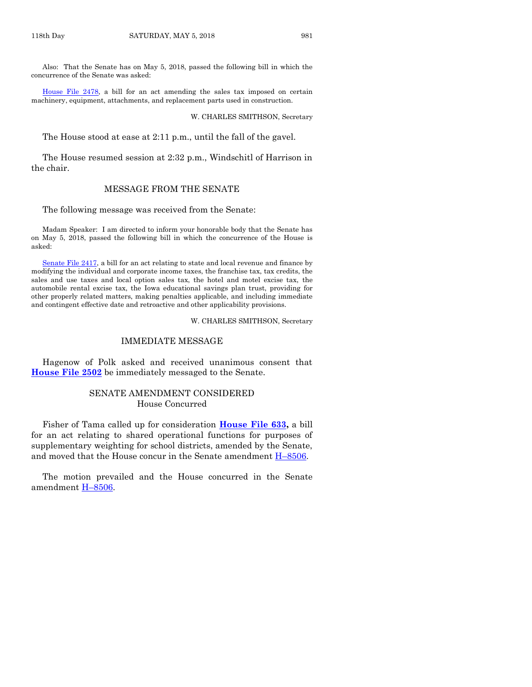Also: That the Senate has on May 5, 2018, passed the following bill in which the concurrence of the Senate was asked:

[House File 2478,](https://www.legis.iowa.gov/legislation/BillBook?ga=87&ba=HF2478) a bill for an act amending the sales tax imposed on certain machinery, equipment, attachments, and replacement parts used in construction.

#### W. CHARLES SMITHSON, Secretary

The House stood at ease at 2:11 p.m., until the fall of the gavel.

The House resumed session at 2:32 p.m., Windschitl of Harrison in the chair.

#### MESSAGE FROM THE SENATE

The following message was received from the Senate:

Madam Speaker: I am directed to inform your honorable body that the Senate has on May 5, 2018, passed the following bill in which the concurrence of the House is asked:

[Senate File 2417,](https://www.legis.iowa.gov/legislation/BillBook?ga=87&ba=SF2417) a bill for an act relating to state and local revenue and finance by modifying the individual and corporate income taxes, the franchise tax, tax credits, the sales and use taxes and local option sales tax, the hotel and motel excise tax, the automobile rental excise tax, the Iowa educational savings plan trust, providing for other properly related matters, making penalties applicable, and including immediate and contingent effective date and retroactive and other applicability provisions.

W. CHARLES SMITHSON, Secretary

#### IMMEDIATE MESSAGE

Hagenow of Polk asked and received unanimous consent that **[House File 2502](https://www.legis.iowa.gov/legislation/BillBook?ga=87&ba=HF2502)** be immediately messaged to the Senate.

#### SENATE AMENDMENT CONSIDERED House Concurred

Fisher of Tama called up for consideration **[House File 633,](https://www.legis.iowa.gov/legislation/BillBook?ga=87&ba=HF633)** a bill for an act relating to shared operational functions for purposes of supplementary weighting for school districts, amended by the Senate, and moved that the House concur in the Senate amendment  $H-8506$ .

The motion prevailed and the House concurred in the Senate amendment H–[8506.](https://www.legis.iowa.gov/legislation/BillBook?ga=87&ba=H8506)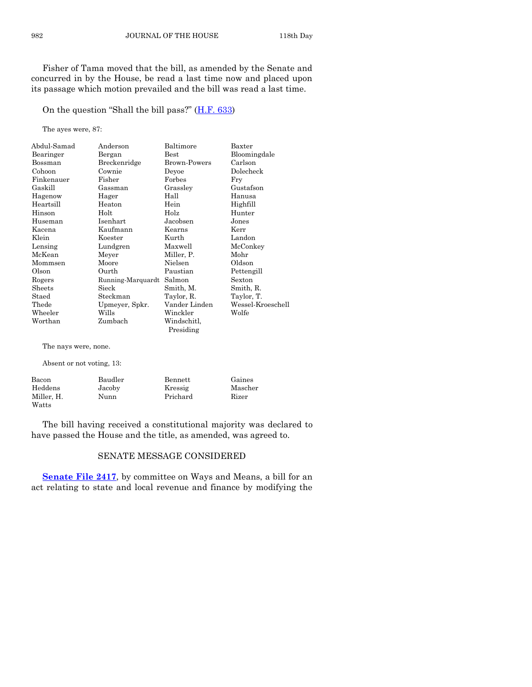Fisher of Tama moved that the bill, as amended by the Senate and concurred in by the House, be read a last time now and placed upon its passage which motion prevailed and the bill was read a last time.

On the question "Shall the bill pass?" ([H.F. 633\)](https://www.legis.iowa.gov/legislation/BillBook?ga=87&ba=HF633)

The ayes were, 87:

| Anderson          | Baltimore           | Baxter            |
|-------------------|---------------------|-------------------|
| Bergan            | $_{\rm Best}$       | Bloomingdale      |
| Breckenridge      | <b>Brown-Powers</b> | Carlson           |
| Cownie            | Deyoe               | Dolecheck         |
| Fisher            | Forbes              | Fry               |
| Gassman           | Grassley            | Gustafson         |
| Hager             | Hall                | Hanusa            |
| Heaton            | Hein                | Highfill          |
| Holt              | Holz                | Hunter            |
| Isenhart          | Jacobsen            | Jones             |
| Kaufmann          | Kearns              | Kerr              |
| Koester           | Kurth               | Landon            |
| Lundgren          | Maxwell             | McConkey          |
| Meyer             | Miller, P.          | Mohr              |
| Moore             | Nielsen             | Oldson            |
| Ourth             | Paustian            | Pettengill        |
| Running-Marquardt | Salmon              | Sexton            |
| Sieck             | Smith, M.           | Smith, R.         |
| Steckman          | Taylor, R.          | Taylor, T.        |
| Upmeyer, Spkr.    | Vander Linden       | Wessel-Kroeschell |
| Wills             | Winckler            | Wolfe             |
| Zumbach           | Windschitl.         |                   |
|                   | Presiding           |                   |
|                   |                     |                   |

The nays were, none.

Absent or not voting, 13:

| Bacon      | Baudler | Bennett  | Gaines  |
|------------|---------|----------|---------|
| Heddens    | Jacoby  | Kressig  | Mascher |
| Miller. H. | Nunn    | Prichard | Rizer   |
| Watts      |         |          |         |

The bill having received a constitutional majority was declared to have passed the House and the title, as amended, was agreed to.

#### SENATE MESSAGE CONSIDERED

**[Senate File 2417](https://www.legis.iowa.gov/legislation/BillBook?ga=87&ba=SF2417)**, by committee on Ways and Means, a bill for an act relating to state and local revenue and finance by modifying the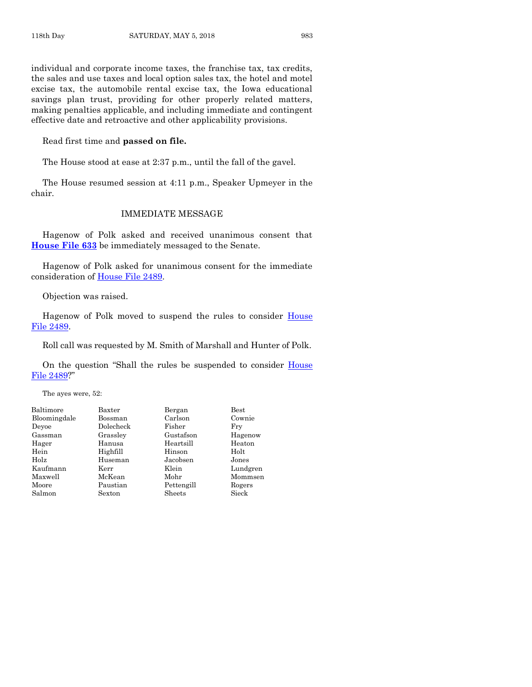individual and corporate income taxes, the franchise tax, tax credits, the sales and use taxes and local option sales tax, the hotel and motel excise tax, the automobile rental excise tax, the Iowa educational savings plan trust, providing for other properly related matters, making penalties applicable, and including immediate and contingent effective date and retroactive and other applicability provisions.

Read first time and **passed on file.**

The House stood at ease at 2:37 p.m., until the fall of the gavel.

The House resumed session at 4:11 p.m., Speaker Upmeyer in the chair.

#### IMMEDIATE MESSAGE

Hagenow of Polk asked and received unanimous consent that **[House File 633](https://www.legis.iowa.gov/legislation/BillBook?ga=87&ba=HF633)** be immediately messaged to the Senate.

Hagenow of Polk asked for unanimous consent for the immediate consideration of [House File 2489.](https://www.legis.iowa.gov/legislation/BillBook?ga=87&ba=HF2489)

Objection was raised.

Hagenow of Polk moved to suspend the rules to consider House [File 2489.](https://www.legis.iowa.gov/legislation/BillBook?ga=87&ba=HF2489)

Roll call was requested by M. Smith of Marshall and Hunter of Polk.

On the question "Shall the rules be suspended to consider House [File 2489](https://www.legis.iowa.gov/legislation/BillBook?ga=87&ba=HF2489)?"

The ayes were, 52:

| Baltimore    | Baxter    | Bergan     | $_{\rm Best}$ |
|--------------|-----------|------------|---------------|
| Bloomingdale | Bossman   | Carlson    | Cown          |
| Devoe        | Dolecheck | Fisher     | Fry           |
| Gassman      | Grassley  | Gustafson  | Hage          |
| Hager        | Hanusa    | Heartsill  | Heato         |
| Hein         | Highfill  | Hinson     | Holt          |
| Holz         | Huseman   | Jacobsen   | Jones         |
| Kaufmann     | Kerr      | Klein      | Lund          |
| Maxwell      | McKean    | Mohr       | Mom:          |
| Moore        | Paustian  | Pettengill | Roger         |
| Salmon       | Sexton    | Sheets     | Sieck         |
|              |           |            |               |

Bossman Carlson Cownie Dolecheck Fisher Fry Grassley Gustafson Hagenow<br>Hanusa Heartsill Heaton Hanusa Heartsill Highfill Hinson Holt Holz Huseman Jacobsen Jones Kerr Klein Lundgren McKean Mohr Mommsen

 $\begin{tabular}{ll} \bf \textbf{\textit{P}}austian & \textbf{\textit{P}}ettengill & \textbf{\textit{R}ogers} \\ \bf \textit{Sexton} & \textbf{\textit{Sheets}} & \textbf{\textit{Sieck}} \\ \end{tabular}$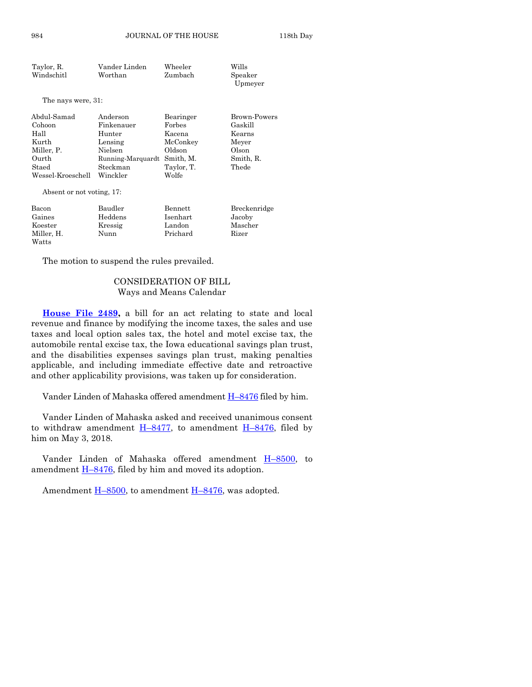| Taylor, R. | Vander Linden | Wheeler | Wills   |
|------------|---------------|---------|---------|
| Windschitl | Worthan       | Zumbach | Speaker |
|            |               |         | Upmeyer |

The nays were, 31:

| Abdul-Samad<br>Cohoon | Anderson<br>Finkenauer      | Bearinger<br>Forbes | Brown-Powers<br>Gaskill |
|-----------------------|-----------------------------|---------------------|-------------------------|
| Hall                  | Hunter                      | Kacena              | Kearns                  |
| Kurth                 | Lensing                     | McConkey            | Meyer                   |
| Miller, P.            | Nielsen                     | Oldson              | Olson                   |
| Ourth                 | Running-Marquardt Smith, M. |                     | Smith, R.               |
| Staed                 | Steckman                    | Taylor, T.          | Thede                   |
| Wessel-Kroeschell     | Winckler                    | Wolfe               |                         |

Absent or not voting, 17:

| Bacon      | Baudler | Bennett  | Breckenridge |
|------------|---------|----------|--------------|
| Gaines     | Heddens | Isenhart | Jacoby       |
| Koester    | Kressig | Landon   | Mascher      |
| Miller. H. | Nunn    | Prichard | Rizer        |
| Watts      |         |          |              |

The motion to suspend the rules prevailed.

#### CONSIDERATION OF BILL Ways and Means Calendar

**[House File 2489,](https://www.legis.iowa.gov/legislation/BillBook?ga=87&ba=HF2489)** a bill for an act relating to state and local revenue and finance by modifying the income taxes, the sales and use taxes and local option sales tax, the hotel and motel excise tax, the automobile rental excise tax, the Iowa educational savings plan trust, and the disabilities expenses savings plan trust, making penalties applicable, and including immediate effective date and retroactive and other applicability provisions, was taken up for consideration.

Vander Linden of Mahaska offered amendment H–[8476](https://www.legis.iowa.gov/legislation/BillBook?ga=87&ba=H8476) filed by him.

Vander Linden of Mahaska asked and received unanimous consent to withdraw amendment  $H-8477$ , to amendment  $H-8476$ , filed by him on May 3, 2018.

Vander Linden of Mahaska offered amendment H–[8500,](https://www.legis.iowa.gov/legislation/BillBook?ga=87&ba=H8500) to amendment  $\underline{H-8476}$ , filed by him and moved its adoption.

Amendment  $H-8500$ , to amendment  $H-8476$ , was adopted.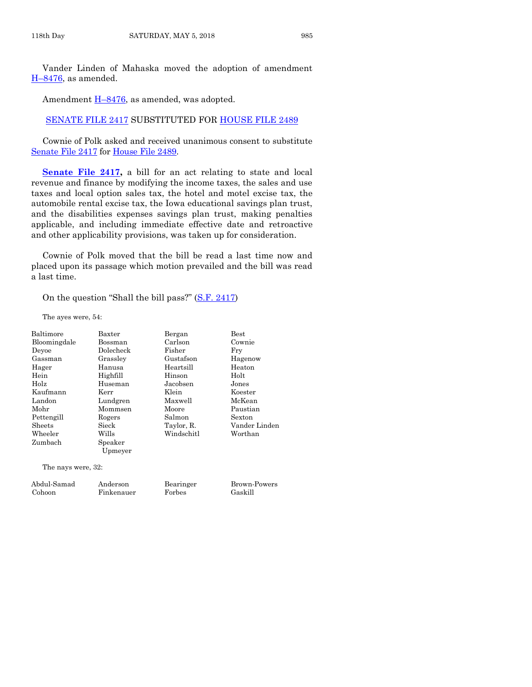Vander Linden of Mahaska moved the adoption of amendment H–[8476,](https://www.legis.iowa.gov/legislation/BillBook?ga=87&ba=H8476) as amended.

Amendment  $H-8476$ , as amended, was adopted.

[SENATE FILE 2417](https://www.legis.iowa.gov/legislation/BillBook?ga=87&ba=SF2417) SUBSTITUTED FOR [HOUSE FILE 2489](https://www.legis.iowa.gov/legislation/BillBook?ga=87&ba=HF2489)

Cownie of Polk asked and received unanimous consent to substitute [Senate File 2417](https://www.legis.iowa.gov/legislation/BillBook?ga=87&ba=SF2417) for [House File 2489.](https://www.legis.iowa.gov/legislation/BillBook?ga=87&ba=HF2489)

**[Senate File 2417,](https://www.legis.iowa.gov/legislation/BillBook?ga=87&ba=SF2417)** a bill for an act relating to state and local revenue and finance by modifying the income taxes, the sales and use taxes and local option sales tax, the hotel and motel excise tax, the automobile rental excise tax, the Iowa educational savings plan trust, and the disabilities expenses savings plan trust, making penalties applicable, and including immediate effective date and retroactive and other applicability provisions, was taken up for consideration.

Cownie of Polk moved that the bill be read a last time now and placed upon its passage which motion prevailed and the bill was read a last time.

On the question "Shall the bill pass?" ([S.F. 2417\)](https://www.legis.iowa.gov/legislation/BillBook?ga=87&ba=SF2417)

The ayes were, 54:

| Baltimore          | Baxter    | Bergan     | $_{\rm Best}$ |
|--------------------|-----------|------------|---------------|
| Bloomingdale       | Bossman   | Carlson    | Cownie        |
| Deyoe              | Dolecheck | Fisher     | Fry           |
| Gassman            | Grassley  | Gustafson  | Hagenow       |
| Hager              | Hanusa    | Heartsill  | Heaton        |
| Hein               | Highfill  | Hinson     | Holt          |
| Holz               | Huseman   | Jacobsen   | Jones         |
| Kaufmann           | Kerr      | Klein      | Koester       |
| Landon             | Lundgren  | Maxwell    | McKean        |
| Mohr               | Mommsen   | Moore      | Paustian      |
| Pettengill         | Rogers    | Salmon     | Sexton        |
| Sheets             | Sieck     | Taylor, R. | Vander Linden |
| Wheeler            | Wills     | Windschitl | Worthan       |
| Zumbach            | Speaker   |            |               |
|                    | Upmeyer   |            |               |
| The nays were, 32: |           |            |               |
| Abdul-Samad        | Anderson  | Bearinger  | Brown-Powers  |

Cohoon Finkenauer Forbes Gaskill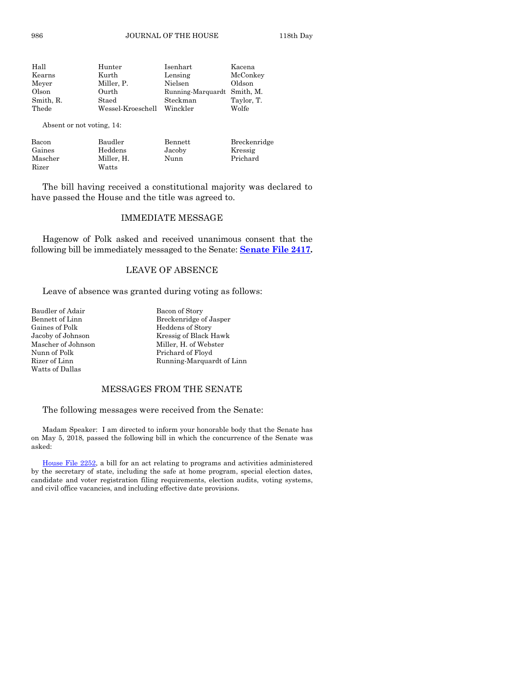| Hall      | Hunter            | Isenhart                    | Kacena     |
|-----------|-------------------|-----------------------------|------------|
| Kearns    | Kurth             | Lensing                     | McConkey   |
| Meyer     | Miller, P.        | Nielsen                     | Oldson     |
| Olson     | Ourth             | Running-Marquardt Smith, M. |            |
| Smith, R. | Staed             | Steckman                    | Taylor, T. |
| Thede     | Wessel-Kroeschell | Winckler                    | Wolfe      |
|           |                   |                             |            |

Absent or not voting, 14:

| Bacon   | Baudler    | Bennett | Breckenridge |
|---------|------------|---------|--------------|
| Gaines  | Heddens    | Jacoby  | Kressig      |
| Mascher | Miller. H. | Nunn    | Prichard     |
| Rizer   | Watts      |         |              |

The bill having received a constitutional majority was declared to have passed the House and the title was agreed to.

#### IMMEDIATE MESSAGE

Hagenow of Polk asked and received unanimous consent that the following bill be immediately messaged to the Senate: **[Senate File 2417.](https://www.legis.iowa.gov/legislation/BillBook?ga=87&ba=SF2417)**

#### LEAVE OF ABSENCE

Leave of absence was granted during voting as follows:

| Baudler of Adair   | Bacon of Story  |
|--------------------|-----------------|
| Bennett of Linn    | Breckenridge o  |
| Gaines of Polk     | Heddens of Sto  |
| Jacoby of Johnson  | Kressig of Blac |
| Mascher of Johnson | Miller, H. of W |
| Nunn of Polk       | Prichard of Flo |
| Rizer of Linn      | Running-Marq    |
| Watts of Dallas    |                 |

Breckenridge of Jasper Heddens of Story Kressig of Black Hawk Miller, H. of Webster Prichard of Floyd Running-Marquardt of Linn

#### MESSAGES FROM THE SENATE

The following messages were received from the Senate:

Madam Speaker: I am directed to inform your honorable body that the Senate has on May 5, 2018, passed the following bill in which the concurrence of the Senate was asked:

[House File 2252,](https://www.legis.iowa.gov/legislation/BillBook?ga=87&ba=HF2252) a bill for an act relating to programs and activities administered by the secretary of state, including the safe at home program, special election dates, candidate and voter registration filing requirements, election audits, voting systems, and civil office vacancies, and including effective date provisions.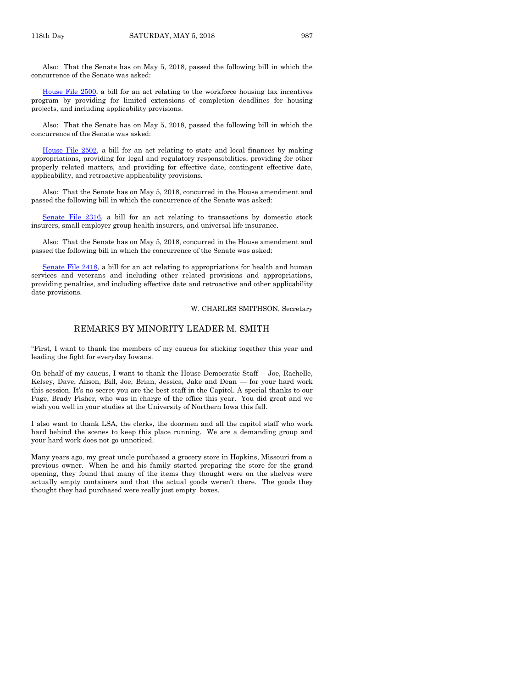Also: That the Senate has on May 5, 2018, passed the following bill in which the concurrence of the Senate was asked:

[House File 2500,](https://www.legis.iowa.gov/legislation/BillBook?ga=87&ba=HF2500) a bill for an act relating to the workforce housing tax incentives program by providing for limited extensions of completion deadlines for housing projects, and including applicability provisions.

Also: That the Senate has on May 5, 2018, passed the following bill in which the concurrence of the Senate was asked:

[House File 2502,](https://www.legis.iowa.gov/legislation/BillBook?ga=87&ba=HF2502) a bill for an act relating to state and local finances by making appropriations, providing for legal and regulatory responsibilities, providing for other properly related matters, and providing for effective date, contingent effective date, applicability, and retroactive applicability provisions.

Also: That the Senate has on May 5, 2018, concurred in the House amendment and passed the following bill in which the concurrence of the Senate was asked:

[Senate File 2316,](https://www.legis.iowa.gov/legislation/BillBook?ga=87&ba=SF2316) a bill for an act relating to transactions by domestic stock insurers, small employer group health insurers, and universal life insurance.

Also: That the Senate has on May 5, 2018, concurred in the House amendment and passed the following bill in which the concurrence of the Senate was asked:

[Senate File 2418,](https://www.legis.iowa.gov/legislation/BillBook?ga=87&ba=SF2418) a bill for an act relating to appropriations for health and human services and veterans and including other related provisions and appropriations, providing penalties, and including effective date and retroactive and other applicability date provisions.

W. CHARLES SMITHSON, Secretary

#### REMARKS BY MINORITY LEADER M. SMITH

"First, I want to thank the members of my caucus for sticking together this year and leading the fight for everyday Iowans.

On behalf of my caucus, I want to thank the House Democratic Staff -- Joe, Rachelle, Kelsey, Dave, Alison, Bill, Joe, Brian, Jessica, Jake and Dean — for your hard work this session. It's no secret you are the best staff in the Capitol. A special thanks to our Page, Brady Fisher, who was in charge of the office this year. You did great and we wish you well in your studies at the University of Northern Iowa this fall.

I also want to thank LSA, the clerks, the doormen and all the capitol staff who work hard behind the scenes to keep this place running. We are a demanding group and your hard work does not go unnoticed.

Many years ago, my great uncle purchased a grocery store in Hopkins, Missouri from a previous owner. When he and his family started preparing the store for the grand opening, they found that many of the items they thought were on the shelves were actually empty containers and that the actual goods weren't there. The goods they thought they had purchased were really just empty boxes.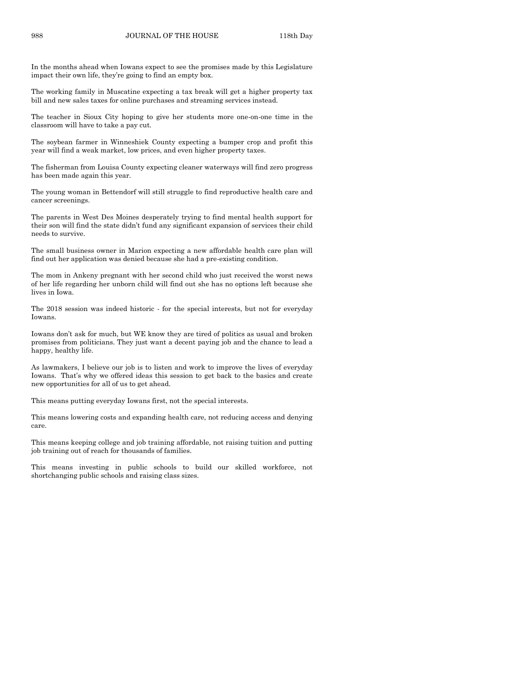In the months ahead when Iowans expect to see the promises made by this Legislature impact their own life, they're going to find an empty box.

The working family in Muscatine expecting a tax break will get a higher property tax bill and new sales taxes for online purchases and streaming services instead.

The teacher in Sioux City hoping to give her students more one-on-one time in the classroom will have to take a pay cut.

The soybean farmer in Winneshiek County expecting a bumper crop and profit this year will find a weak market, low prices, and even higher property taxes.

The fisherman from Louisa County expecting cleaner waterways will find zero progress has been made again this year.

The young woman in Bettendorf will still struggle to find reproductive health care and cancer screenings.

The parents in West Des Moines desperately trying to find mental health support for their son will find the state didn't fund any significant expansion of services their child needs to survive.

The small business owner in Marion expecting a new affordable health care plan will find out her application was denied because she had a pre-existing condition.

The mom in Ankeny pregnant with her second child who just received the worst news of her life regarding her unborn child will find out she has no options left because she lives in Iowa.

The 2018 session was indeed historic - for the special interests, but not for everyday Iowans.

Iowans don't ask for much, but WE know they are tired of politics as usual and broken promises from politicians. They just want a decent paying job and the chance to lead a happy, healthy life.

As lawmakers, I believe our job is to listen and work to improve the lives of everyday Iowans. That's why we offered ideas this session to get back to the basics and create new opportunities for all of us to get ahead.

This means putting everyday Iowans first, not the special interests.

This means lowering costs and expanding health care, not reducing access and denying care.

This means keeping college and job training affordable, not raising tuition and putting job training out of reach for thousands of families.

This means investing in public schools to build our skilled workforce, not shortchanging public schools and raising class sizes.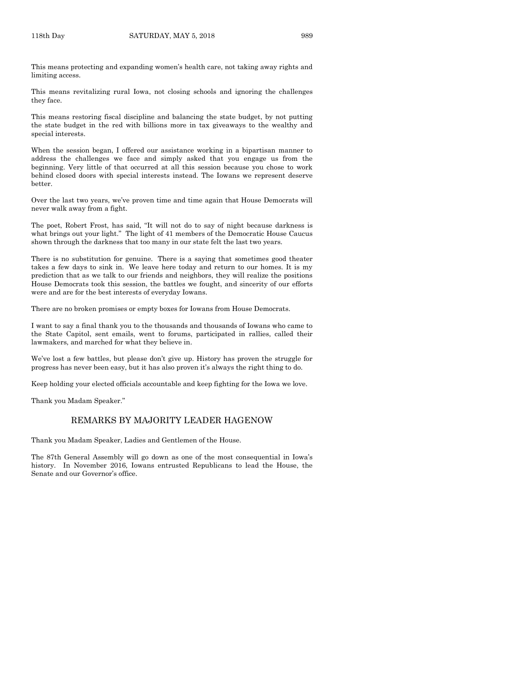This means protecting and expanding women's health care, not taking away rights and limiting access.

This means revitalizing rural Iowa, not closing schools and ignoring the challenges they face.

This means restoring fiscal discipline and balancing the state budget, by not putting the state budget in the red with billions more in tax giveaways to the wealthy and special interests.

When the session began, I offered our assistance working in a bipartisan manner to address the challenges we face and simply asked that you engage us from the beginning. Very little of that occurred at all this session because you chose to work behind closed doors with special interests instead. The Iowans we represent deserve better.

Over the last two years, we've proven time and time again that House Democrats will never walk away from a fight.

The poet, Robert Frost, has said, "It will not do to say of night because darkness is what brings out your light." The light of 41 members of the Democratic House Caucus shown through the darkness that too many in our state felt the last two years.

There is no substitution for genuine. There is a saying that sometimes good theater takes a few days to sink in. We leave here today and return to our homes. It is my prediction that as we talk to our friends and neighbors, they will realize the positions House Democrats took this session, the battles we fought, and sincerity of our efforts were and are for the best interests of everyday Iowans.

There are no broken promises or empty boxes for Iowans from House Democrats.

I want to say a final thank you to the thousands and thousands of Iowans who came to the State Capitol, sent emails, went to forums, participated in rallies, called their lawmakers, and marched for what they believe in.

We've lost a few battles, but please don't give up. History has proven the struggle for progress has never been easy, but it has also proven it's always the right thing to do.

Keep holding your elected officials accountable and keep fighting for the Iowa we love.

Thank you Madam Speaker."

#### REMARKS BY MAJORITY LEADER HAGENOW

Thank you Madam Speaker, Ladies and Gentlemen of the House.

The 87th General Assembly will go down as one of the most consequential in Iowa's history. In November 2016, Iowans entrusted Republicans to lead the House, the Senate and our Governor's office.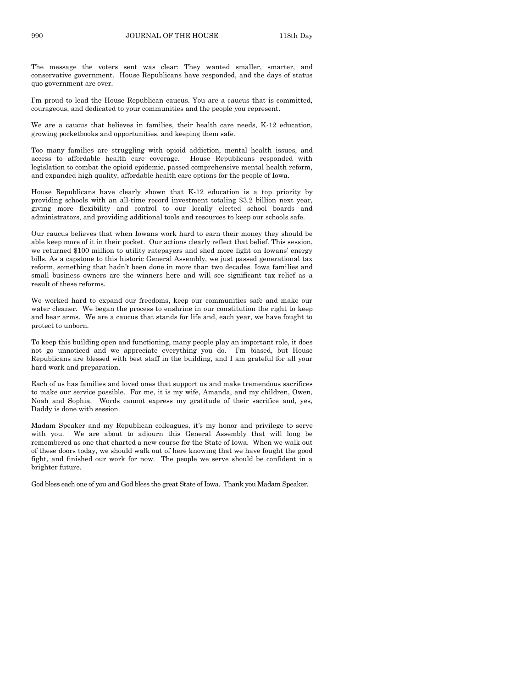The message the voters sent was clear: They wanted smaller, smarter, and conservative government. House Republicans have responded, and the days of status quo government are over.

I'm proud to lead the House Republican caucus. You are a caucus that is committed, courageous, and dedicated to your communities and the people you represent.

We are a caucus that believes in families, their health care needs, K-12 education, growing pocketbooks and opportunities, and keeping them safe.

Too many families are struggling with opioid addiction, mental health issues, and access to affordable health care coverage. House Republicans responded with legislation to combat the opioid epidemic, passed comprehensive mental health reform, and expanded high quality, affordable health care options for the people of Iowa.

House Republicans have clearly shown that K-12 education is a top priority by providing schools with an all-time record investment totaling \$3.2 billion next year, giving more flexibility and control to our locally elected school boards and administrators, and providing additional tools and resources to keep our schools safe.

Our caucus believes that when Iowans work hard to earn their money they should be able keep more of it in their pocket. Our actions clearly reflect that belief. This session, we returned \$100 million to utility ratepayers and shed more light on Iowans' energy bills. As a capstone to this historic General Assembly, we just passed generational tax reform, something that hadn't been done in more than two decades. Iowa families and small business owners are the winners here and will see significant tax relief as a result of these reforms.

We worked hard to expand our freedoms, keep our communities safe and make our water cleaner. We began the process to enshrine in our constitution the right to keep and bear arms. We are a caucus that stands for life and, each year, we have fought to protect to unborn.

To keep this building open and functioning, many people play an important role, it does not go unnoticed and we appreciate everything you do. I'm biased, but House Republicans are blessed with best staff in the building, and I am grateful for all your hard work and preparation.

Each of us has families and loved ones that support us and make tremendous sacrifices to make our service possible. For me, it is my wife, Amanda, and my children, Owen, Noah and Sophia. Words cannot express my gratitude of their sacrifice and, yes, Daddy is done with session.

Madam Speaker and my Republican colleagues, it's my honor and privilege to serve with you. We are about to adjourn this General Assembly that will long be remembered as one that charted a new course for the State of Iowa. When we walk out of these doors today, we should walk out of here knowing that we have fought the good fight, and finished our work for now. The people we serve should be confident in a brighter future.

God bless each one of you and God bless the great State of Iowa. Thank you Madam Speaker.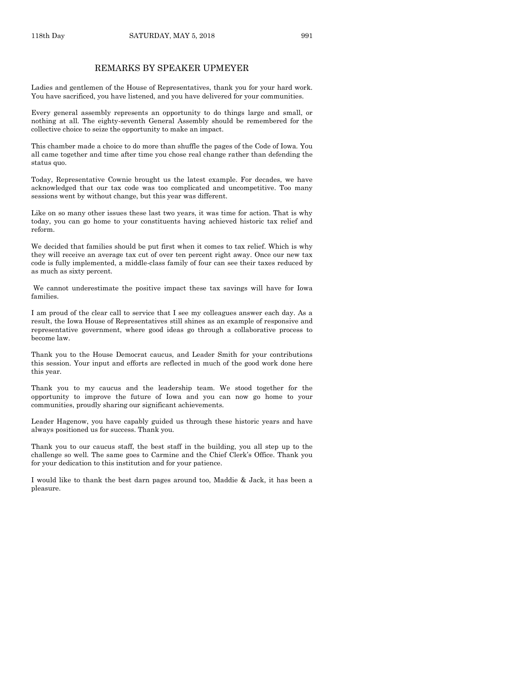#### REMARKS BY SPEAKER UPMEYER

Ladies and gentlemen of the House of Representatives, thank you for your hard work. You have sacrificed, you have listened, and you have delivered for your communities.

Every general assembly represents an opportunity to do things large and small, or nothing at all. The eighty-seventh General Assembly should be remembered for the collective choice to seize the opportunity to make an impact.

This chamber made a choice to do more than shuffle the pages of the Code of Iowa. You all came together and time after time you chose real change rather than defending the status quo.

Today, Representative Cownie brought us the latest example. For decades, we have acknowledged that our tax code was too complicated and uncompetitive. Too many sessions went by without change, but this year was different.

Like on so many other issues these last two years, it was time for action. That is why today, you can go home to your constituents having achieved historic tax relief and reform.

We decided that families should be put first when it comes to tax relief. Which is why they will receive an average tax cut of over ten percent right away. Once our new tax code is fully implemented, a middle-class family of four can see their taxes reduced by as much as sixty percent.

We cannot underestimate the positive impact these tax savings will have for Iowa families.

I am proud of the clear call to service that I see my colleagues answer each day. As a result, the Iowa House of Representatives still shines as an example of responsive and representative government, where good ideas go through a collaborative process to become law.

Thank you to the House Democrat caucus, and Leader Smith for your contributions this session. Your input and efforts are reflected in much of the good work done here this year.

Thank you to my caucus and the leadership team. We stood together for the opportunity to improve the future of Iowa and you can now go home to your communities, proudly sharing our significant achievements.

Leader Hagenow, you have capably guided us through these historic years and have always positioned us for success. Thank you.

Thank you to our caucus staff, the best staff in the building, you all step up to the challenge so well. The same goes to Carmine and the Chief Clerk's Office. Thank you for your dedication to this institution and for your patience.

I would like to thank the best darn pages around too, Maddie & Jack, it has been a pleasure.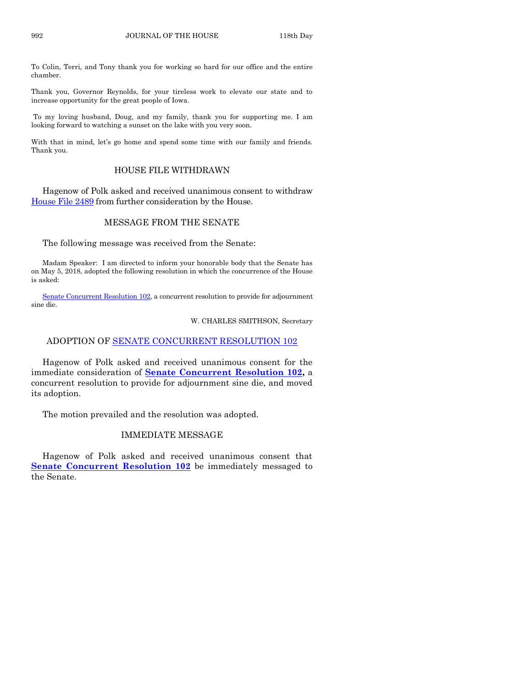To Colin, Terri, and Tony thank you for working so hard for our office and the entire chamber.

Thank you, Governor Reynolds, for your tireless work to elevate our state and to increase opportunity for the great people of Iowa.

To my loving husband, Doug, and my family, thank you for supporting me. I am looking forward to watching a sunset on the lake with you very soon.

With that in mind, let's go home and spend some time with our family and friends. Thank you.

#### HOUSE FILE WITHDRAWN

Hagenow of Polk asked and received unanimous consent to withdraw [House File 2489](https://www.legis.iowa.gov/legislation/BillBook?ga=87&ba=HF2489) from further consideration by the House.

#### MESSAGE FROM THE SENATE

The following message was received from the Senate:

Madam Speaker: I am directed to inform your honorable body that the Senate has on May 5, 2018, adopted the following resolution in which the concurrence of the House is asked:

[Senate Concurrent Resolution 102,](https://www.legis.iowa.gov/legislation/BillBook?ga=87&ba=SCR102) a concurrent resolution to provide for adjournment sine die.

W. CHARLES SMITHSON, Secretary

#### ADOPTION OF [SENATE CONCURRENT RESOLUTION 102](https://www.legis.iowa.gov/legislation/BillBook?ga=87&ba=SCR102)

Hagenow of Polk asked and received unanimous consent for the immediate consideration of **[Senate Concurrent Resolution 102,](https://www.legis.iowa.gov/legislation/BillBook?ga=87&ba=SCR102)** a concurrent resolution to provide for adjournment sine die, and moved its adoption.

The motion prevailed and the resolution was adopted.

#### IMMEDIATE MESSAGE

Hagenow of Polk asked and received unanimous consent that **Senate [Concurrent Resolution 102](https://www.legis.iowa.gov/legislation/BillBook?ga=87&ba=SCR102)** be immediately messaged to the Senate.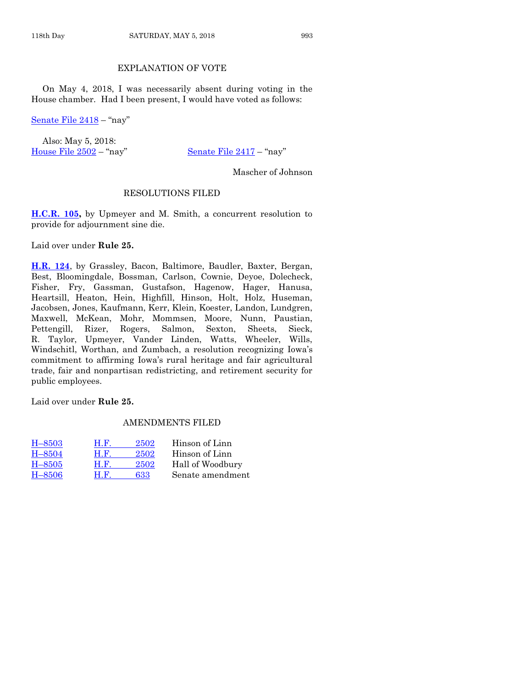#### EXPLANATION OF VOTE

On May 4, 2018, I was necessarily absent during voting in the House chamber. Had I been present, I would have voted as follows:

[Senate File 2418](https://www.legis.iowa.gov/legislation/BillBook?ga=87&ba=SF2418) – "nay"

Also: May 5, 2018: [House File 2502](https://www.legis.iowa.gov/legislation/BillBook?ga=87&ba=HF2502) – "nay" [Senate File 2417](https://www.legis.iowa.gov/legislation/BillBook?ga=87&ba=SF2417) – "nay"

Mascher of Johnson

#### RESOLUTIONS FILED

**[H.C.R.](https://www.legis.iowa.gov/legislation/BillBook?ga=87&ba=HCR105) 105,** by Upmeyer and M. Smith, a concurrent resolution to provide for adjournment sine die.

Laid over under **Rule 25.**

**[H.R.](https://www.legis.iowa.gov/legislation/BillBook?ga=87&ba=HR124) 124**, by Grassley, Bacon, Baltimore, Baudler, Baxter, Bergan, Best, Bloomingdale, Bossman, Carlson, Cownie, Deyoe, Dolecheck, Fisher, Fry, Gassman, Gustafson, Hagenow, Hager, Hanusa, Heartsill, Heaton, Hein, Highfill, Hinson, Holt, Holz, Huseman, Jacobsen, Jones, Kaufmann, Kerr, Klein, Koester, Landon, Lundgren, Maxwell, McKean, Mohr, Mommsen, Moore, Nunn, Paustian, Pettengill, Rizer, Rogers, Salmon, Sexton, Sheets, Sieck, R. Taylor, Upmeyer, Vander Linden, Watts, Wheeler, Wills, Windschitl, Worthan, and Zumbach, a resolution recognizing Iowa's commitment to affirming Iowa's rural heritage and fair agricultural trade, fair and nonpartisan redistricting, and retirement security for public employees.

Laid over under **Rule 25.**

#### AMENDMENTS FILED

| $H - 8503$ | Н.Е. | 2502 | Hinson of Linn   |
|------------|------|------|------------------|
| $H - 8504$ | Н.Е. | 2502 | Hinson of Linn   |
| $H - 8505$ | Н.Е. | 2502 | Hall of Woodbury |
| $H - 8506$ | Н.Е. | 633  | Senate amendment |